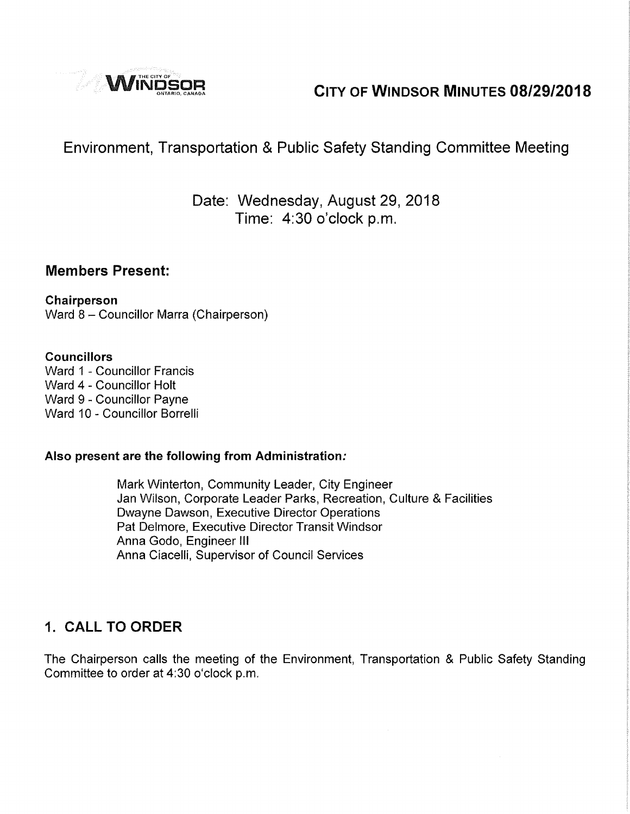

# **CITY OF WINDSOR MINUTES 08/29/2018**

# Environment, Transportation & Public Safety Standing Committee Meeting

# Date: Wednesday, August 29, 2018 Time: 4:30 o'clock p.m.

### **Members Present:**

# **Chairperson**

Ward 8 - Councillor Marra (Chairperson)

#### **Councillors**

Ward 1 - Councillor Francis Ward 4 - Councillor Holt Ward 9 - Councillor Payne Ward 10 - Councillor Borrelli

#### **Also present are the following from Administration:**

Mark Winterton, Community Leader, City Engineer Jan Wilson, Corporate Leader Parks, Recreation, Culture & Facilities Dwayne Dawson, Executive Director Operations Pat Delmore, Executive Director Transit Windsor Anna Godo, Engineer Ill Anna Ciacelli, Supervisor of Council Services

# **1. CALL TO ORDER**

The Chairperson calls the meeting of the Environment, Transportation & Public Safety Standing Committee to order at 4:30 o'clock p.m.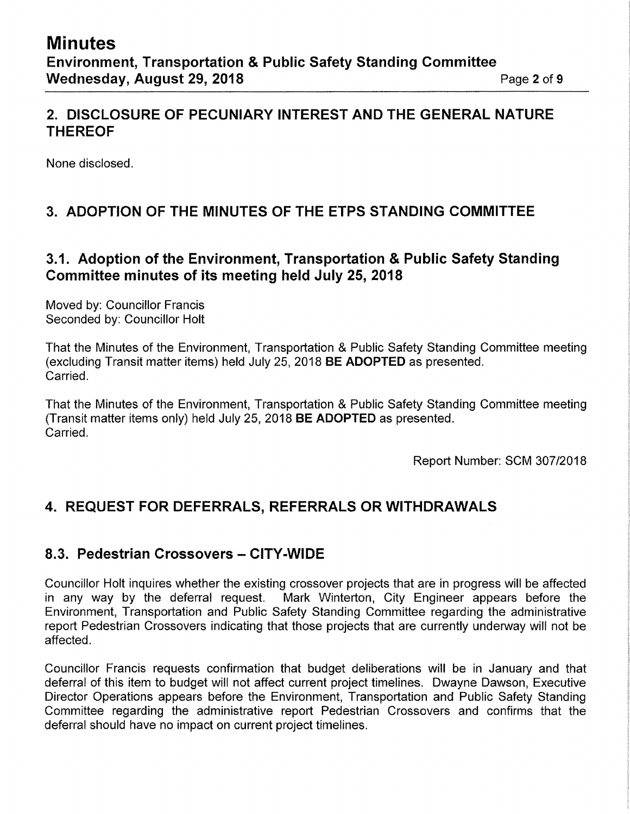## **2. DISCLOSURE OF PECUNIARY INTEREST AND THE GENERAL NATURE THEREOF**

None disclosed.

# **3. ADOPTION OF THE MINUTES OF THE ETPS STANDING COMMITTEE**

## **3.1. Adoption of the Environment, Transportation & Public Safety Standing Committee minutes of its meeting held July 25, 2018**

Moved by: Councillor Francis Seconded by: Councillor Holt

That the Minutes of the Environment, Transportation & Public Safety Standing Committee meeting (excluding Transit matter items) held July 25, 2018 **BE ADOPTED** as presented. Carried.

That the Minutes of the Environment, Transportation & Public Safety Standing Committee meeting (Transit matter items only) held July 25, 2018 **BE ADOPTED** as presented. Carried.

Report Number: SCM 307/2018

# **4. REQUEST FOR DEFERRALS, REFERRALS OR WITHDRAWALS**

### **8.3. Pedestrian Crossovers - CITY-WIDE**

Councillor Holt inquires whether the existing crossover projects that are in progress will be affected in any way by the deferral request. Mark Winterton, City Engineer appears before the Environment, Transportation and Public Safety Standing Committee regarding the administrative report Pedestrian Crossovers indicating that those projects that are currently underway will not be affected.

Councillor Francis requests confirmation that budget deliberations will be in January and that deferral of this item to budget will not affect current project timelines. Dwayne Dawson, Executive Director Operations appears before the Environment, Transportation and Public Safety Standing Committee regarding the administrative report Pedestrian Crossovers and confirms that the deferral should have no impact on current project timelines.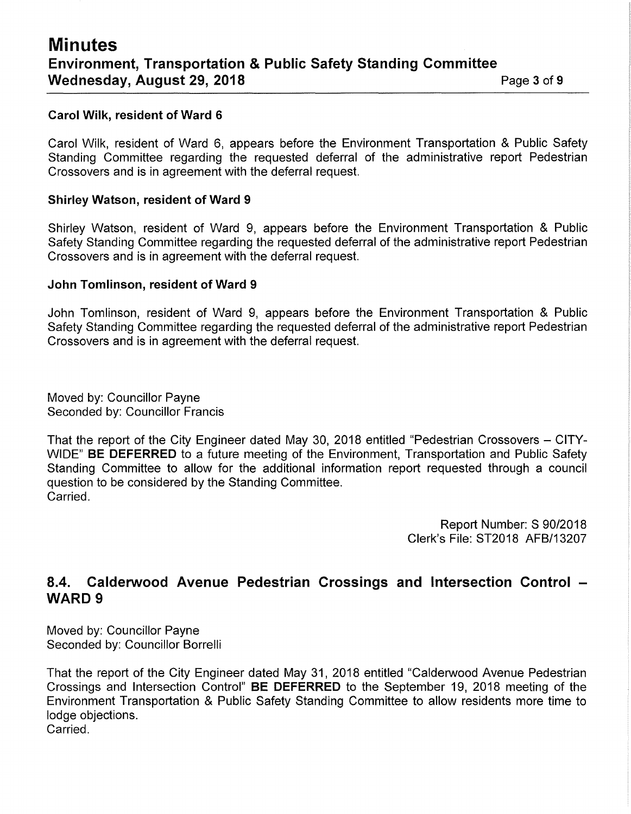#### **Carol Wilk, resident of Ward 6**

Carol Wilk, resident of Ward 6, appears before the Environment Transportation & Public Safety Standing Committee regarding the requested deferral of the administrative report Pedestrian Crossovers and is in agreement with the deferral request.

#### **Shirley Watson, resident of Ward 9**

Shirley Watson, resident of Ward 9, appears before the Environment Transportation & Public Safety Standing Committee regarding the requested deferral of the administrative report Pedestrian Crossovers and is in agreement with the deferral request.

#### **John Tomlinson, resident of Ward 9**

John Tomlinson, resident of Ward 9, appears before the Environment Transportation & Public Safety Standing Committee regarding the requested deferral of the administrative report Pedestrian Crossovers and is in agreement with the deferral request.

Moved by: Councillor Payne Seconded by: Councillor Francis

That the report of the City Engineer dated May 30, 2018 entitled "Pedestrian Crossovers - CITY-WIDE" **BE DEFERRED** to a future meeting of the Environment, Transportation and Public Safety Standing Committee to allow for the additional information report requested through a council question to be considered by the Standing Committee. Carried.

> Report Number: S 90/2018 Clerk's File: ST2018 AFB/13207

### **8.4. Calderwood Avenue Pedestrian Crossings and Intersection Control** - **WARD9**

Moved by: Councillor Payne Seconded by: Councillor Borrelli

That the report of the City Engineer dated May 31, 2018 entitled "Calderwood Avenue Pedestrian Crossings and Intersection Control" **BE DEFERRED** to the September 19, 2018 meeting of the Environment Transportation & Public Safety Standing Committee to allow residents more time to lodge objections. Carried.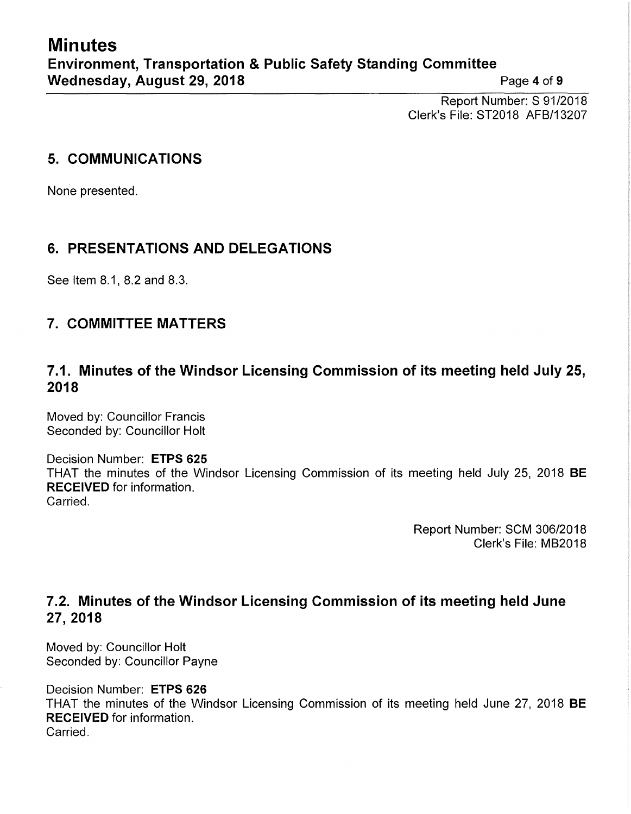Report Number: S 91/2018 Clerk's File: ST2018 AFB/13207

## **5. COMMUNICATIONS**

None presented.

# **6. PRESENTATIONS AND DELEGATIONS**

See Item 8.1, 8.2 and 8.3.

# **7. COMMITTEE MATTERS**

# **7.1. Minutes of the Windsor Licensing Commission of its meeting held July 25, 2018**

Moved by: Councillor Francis Seconded by: Councillor Holt

#### Decision Number: **ETPS 625**  THAT the minutes of the Windsor Licensing Commission of its meeting held July 25, 2018 **BE RECEIVED** for information. Carried.

Report Number: SCM 306/2018 Clerk's File: MB2018

# **7.2. Minutes of the Windsor Licensing Commission of its meeting held June 27,2018**

Moved by: Councillor Holt Seconded by: Councillor Payne

Decision Number: **ETPS 626**  THAT the minutes of the Windsor Licensing Commission of its meeting held June 27, 2018 **BE RECEIVED** for information. Carried.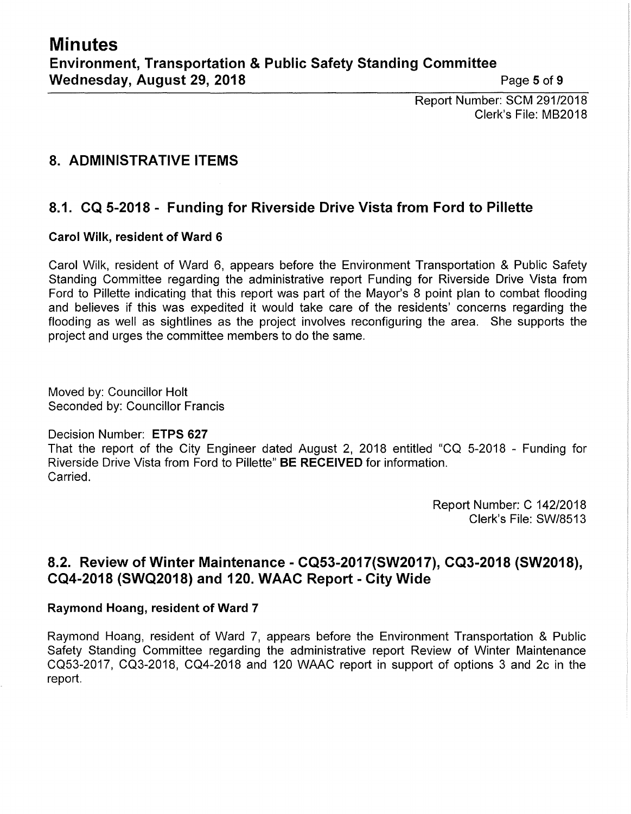Report Number: SCM 291/2018 Clerk's File: MB2018

# **8. ADMINISTRATIVE ITEMS**

# **8.1. CQ 5-2018 - Funding for Riverside Drive Vista from Ford to Pillette**

#### **Carol Wilk, resident of Ward 6**

Carol Wilk, resident of Ward 6, appears before the Environment Transportation & Public Safety Standing Committee regarding the administrative report Funding for Riverside Drive Vista from Ford to Pillette indicating that this report was part of the Mayor's 8 point plan to combat flooding and believes if this was expedited it would take care of the residents' concerns regarding the flooding as well as sightlines as the project involves reconfiguring the area. She supports the project and urges the committee members to do the same.

Moved by: Councillor Holt Seconded by: Councillor Francis

#### Decision Number: **ETPS 627**

That the report of the City Engineer dated August 2, 2018 entitled "CQ 5-2018 - Funding for Riverside Drive Vista from Ford to Pillette" **BE RECEIVED** for information. Carried.

> Report Number: C 142/2018 Clerk's File: SW/8513

## **8.2. Review of Winter Maintenance - CQ53-2017(SW2017), CQ3-2018 (SW2018), CQ4-2018 (SWQ2018) and 120. WAAC Report - City Wide**

#### **Raymond Hoang, resident of Ward 7**

Raymond Hoang, resident of Ward 7, appears before the Environment Transportation & Public Safety Standing Committee regarding the administrative report Review of Winter Maintenance CQ53-2017, CQ3-2018, CQ4-2018 and 120 WAAC report in support of options 3 and 2c in the report.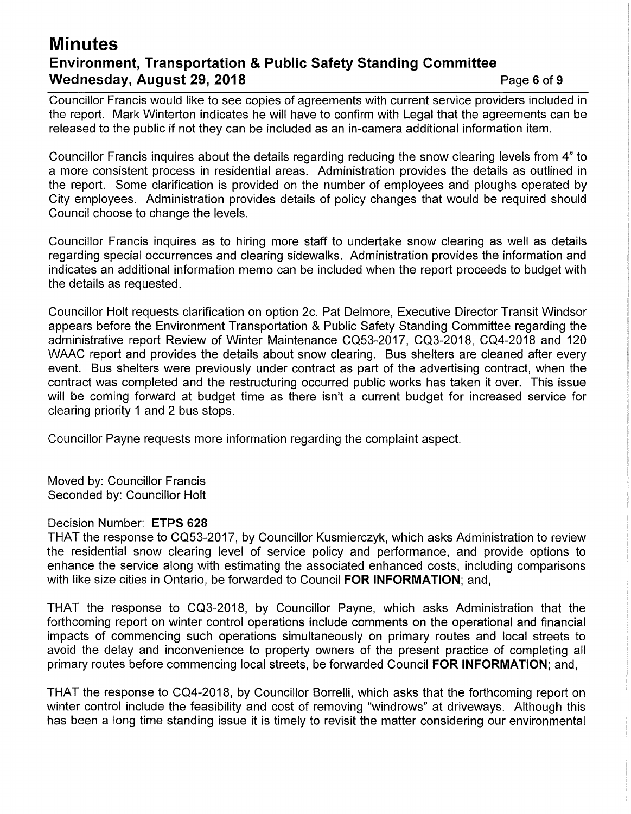# **Minutes Environment, Transportation & Public Safety Standing Committee Wednesday, August 29, 2018 Page 6 of 9 <b>Page 6 of 9**

Councillor Francis would like to see copies of agreements with current service providers included in the report. Mark Winterton indicates he will have to confirm with Legal that the agreements can be released to the public if not they can be included as an in-camera additional information item.

Councillor Francis inquires about the details regarding reducing the snow clearing levels from 4" to a more consistent process in residential areas. Administration provides the details as outlined in the report. Some clarification is provided on the number of employees and ploughs operated by City employees. Administration provides details of policy changes that would be required should Council choose to change the levels.

Councillor Francis inquires as to hiring more staff to undertake snow clearing as well as details regarding special occurrences and clearing sidewalks. Administration provides the information and indicates an additional information memo can be included when the report proceeds to budget with the details as requested.

Councillor Holt requests clarification on option 2c. Pat Delmore, Executive Director Transit Windsor appears before the Environment Transportation & Public Safety Standing Committee regarding the administrative report Review of Winter Maintenance CQ53-2017, CQ3-2018, CQ4-2018 and 120 WAAC report and provides the details about snow clearing. Bus shelters are cleaned after every event. Bus shelters were previously under contract as part of the advertising contract, when the contract was completed and the restructuring occurred public works has taken it over. This issue will be coming forward at budget time as there isn't a current budget for increased service for clearing priority 1 and 2 bus stops.

Councillor Payne requests more information regarding the complaint aspect.

Moved by: Councillor Francis Seconded by: Councillor Holt

#### Decision Number: **ETPS 628**

THAT the response to CQ53-2017, by Councillor Kusmierczyk, which asks Administration to review the residential snow clearing level of service policy and performance, and provide options to enhance the service along with estimating the associated enhanced costs, including comparisons with like size cities in Ontario, be forwarded to Council **FOR INFORMATION;** and,

THAT the response to CQ3-2018, by Councillor Payne, which asks Administration that the forthcoming report on winter control operations include comments on the operational and financial impacts of commencing such operations simultaneously on primary routes and local streets to avoid the delay and inconvenience to property owners of the present practice of completing all primary routes before commencing local streets, be forwarded Council **FOR INFORMATION;** and,

THAT the response to CQ4-2018, by Councillor Borrelli, which asks that the forthcoming report on winter control include the feasibility and cost of removing "windrows" at driveways. Although this has been a long time standing issue it is timely to revisit the matter considering our environmental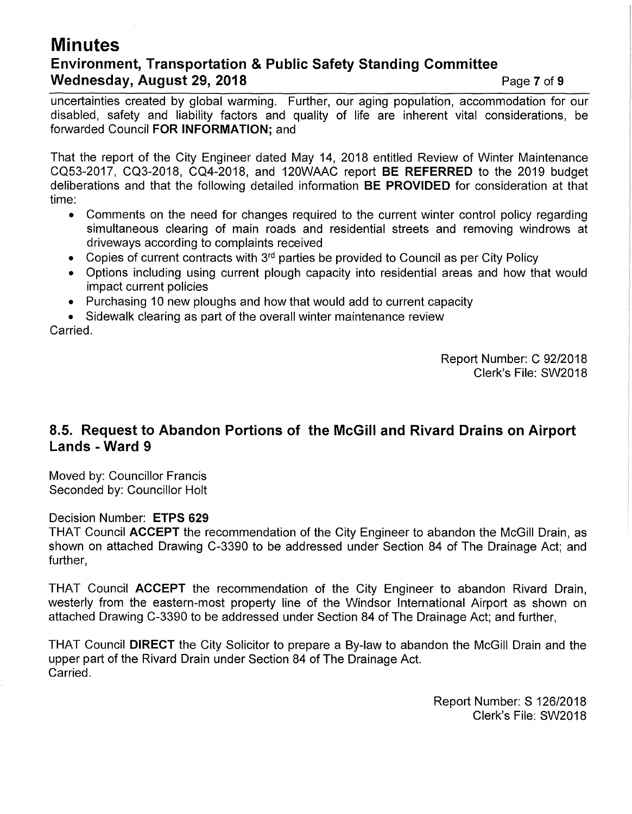# **Minutes Environment, Transportation & Public Safety Standing Committee Wednesday, August 29, 2018 Page 7 of 9 Page 7 of 9**

uncertainties created by global warming. Further, our aging population, accommodation for our disabled, safety and liability factors and quality of life are inherent vital considerations, be forwarded Council **FOR INFORMATION;** and

That the report of the City Engineer dated May 14, 2018 entitled Review of Winter Maintenance CQ53-2017, CQ3-2018, CQ4-2018, and 120WAAC report **BE REFERRED** to the 2019 budget deliberations and that the following detailed information **BE PROVIDED** for consideration at that time:

- Comments on the need for changes required to the current winter control policy regarding simultaneous clearing of main roads and residential streets and removing windrows at driveways according to complaints received
- Copies of current contracts with  $3<sup>rd</sup>$  parties be provided to Council as per City Policy
- Options including using current plough capacity into residential areas and how that would impact current policies
- Purchasing 10 new ploughs and how that would add to current capacity
- Sidewalk clearing as part of the overall winter maintenance review

Carried.

Report Number: C 92/2018 Clerk's File: SW2018

# **8.5. Request to Abandon Portions of the McGill and Rivard Drains on Airport Lands - Ward 9**

Moved by: Councillor Francis Seconded by: Councillor Holt

#### Decision Number: **ETPS 629**

THAT Council **ACCEPT** the recommendation of the City Engineer to abandon the McGill Drain, as shown on attached Drawing C-3390 to be addressed under Section 84 of The Drainage Act; and further,

THAT Council **ACCEPT** the recommendation of the City Engineer to abandon Rivard Drain, westerly from the eastern-most property line of the Windsor International Airport as shown on attached Drawing C-3390 to be addressed under Section 84 of The Drainage Act; and further,

THAT Council **DIRECT** the City Solicitor to prepare a By-law to abandon the McGill Drain and the upper part of the Rivard Drain under Section 84 of The Drainage Act. Carried.

> Report Number: S 126/2018 Clerk's File: SW2018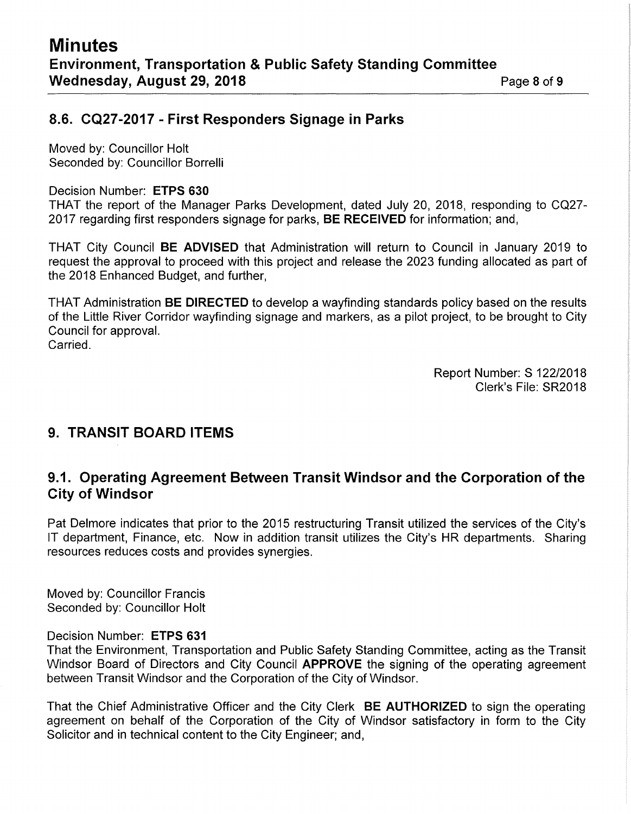# **8.6. CQ27-2017 - First Responders Signage in Parks**

Moved by: Councillor Holt Seconded by: Councillor Borrelli

#### Decision Number: **ETPS 630**

THAT the report of the Manager Parks Development, dated July 20, 2018, responding to CQ27- 2017 regarding first responders signage for parks, **BE RECEIVED** for information; and,

THAT City Council **BE ADVISED** that Administration will return to Council in January 2019 to request the approval to proceed with this project and release the 2023 funding allocated as part of the 2018 Enhanced Budget, and further,

THAT Administration **BE DIRECTED** to develop a wayfinding standards policy based on the results of the Little River Corridor wayfinding signage and markers, as a pilot project, to be brought to City Council for approval.

Carried.

Report Number: S 122/2018 Clerk's File: SR2018

# **9. TRANSIT BOARD ITEMS**

## **9.1. Operating Agreement Between Transit Windsor and the Corporation of the City of Windsor**

Pat Delmore indicates that prior to the 2015 restructuring Transit utilized the services of the City's IT department, Finance, etc. Now in addition transit utilizes the City's HR departments. Sharing resources reduces costs and provides synergies.

Moved by: Councillor Francis Seconded by: Councillor Holt

#### Decision Number: **ETPS 631**

That the Environment, Transportation and Public Safety Standing Committee, acting as the Transit Windsor Board of Directors and City Council **APPROVE** the signing of the operating agreement between Transit Windsor and the Corporation of the City of Windsor.

That the Chief Administrative Officer and the City Clerk **BE AUTHORIZED** to sign the operating agreement on behalf of the Corporation of the City of Windsor satisfactory in form to the City Solicitor and in technical content to the City Engineer; and,